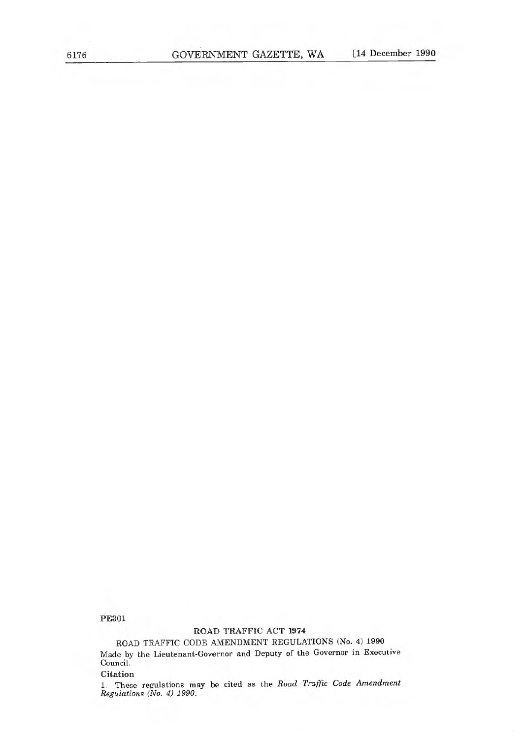PE301

## ROAD TRAFFIC ACT 1974

## ROAD TRAFFIC CODE AMENDMENT REGULATIONS (No. 4) 1990

Made by the Lieutenant-Governor and Deputy of the Governor in Executive Council.

Citation

1. These regulations may be cited as the Road Traffic Code Amendment Regulations (No. 4) 1990.